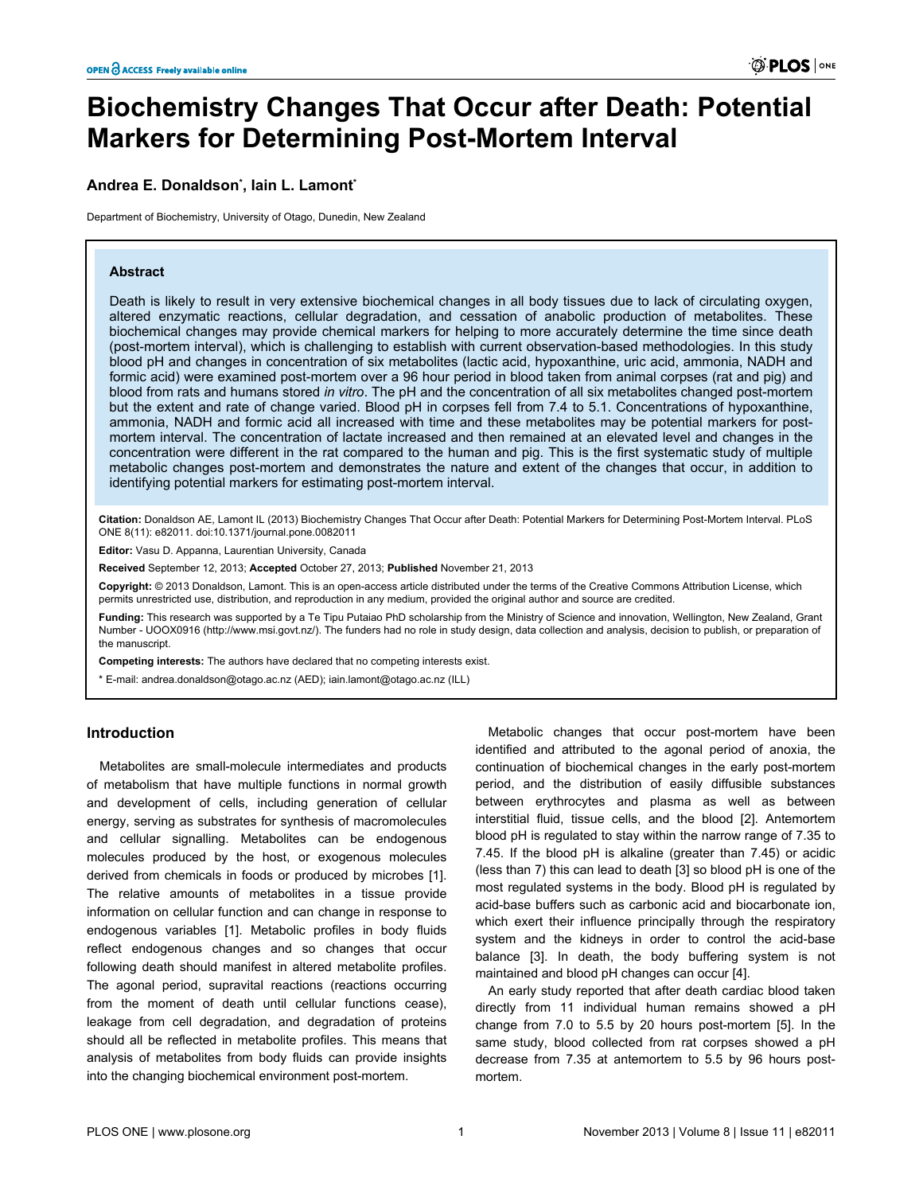# **Biochemistry Changes That Occur after Death: Potential Markers for Determining Post-Mortem Interval**

# **Andrea E. Donaldson\* , Iain L. Lamont\***

Department of Biochemistry, University of Otago, Dunedin, New Zealand

# **Abstract**

Death is likely to result in very extensive biochemical changes in all body tissues due to lack of circulating oxygen, altered enzymatic reactions, cellular degradation, and cessation of anabolic production of metabolites. These biochemical changes may provide chemical markers for helping to more accurately determine the time since death (post-mortem interval), which is challenging to establish with current observation-based methodologies. In this study blood pH and changes in concentration of six metabolites (lactic acid, hypoxanthine, uric acid, ammonia, NADH and formic acid) were examined post-mortem over a 96 hour period in blood taken from animal corpses (rat and pig) and blood from rats and humans stored *in vitro*. The pH and the concentration of all six metabolites changed post-mortem but the extent and rate of change varied. Blood pH in corpses fell from 7.4 to 5.1. Concentrations of hypoxanthine, ammonia, NADH and formic acid all increased with time and these metabolites may be potential markers for postmortem interval. The concentration of lactate increased and then remained at an elevated level and changes in the concentration were different in the rat compared to the human and pig. This is the first systematic study of multiple metabolic changes post-mortem and demonstrates the nature and extent of the changes that occur, in addition to identifying potential markers for estimating post-mortem interval.

**Citation:** Donaldson AE, Lamont IL (2013) Biochemistry Changes That Occur after Death: Potential Markers for Determining Post-Mortem Interval. PLoS ONE 8(11): e82011. doi:10.1371/journal.pone.0082011

**Editor:** Vasu D. Appanna, Laurentian University, Canada

**Received** September 12, 2013; **Accepted** October 27, 2013; **Published** November 21, 2013

**Copyright:** © 2013 Donaldson, Lamont. This is an open-access article distributed under the terms of the [Creative Commons Attribution License](http://creativecommons.org/licenses/by/3.0/), which permits unrestricted use, distribution, and reproduction in any medium, provided the original author and source are credited.

**Funding:** This research was supported by a Te Tipu Putaiao PhD scholarship from the Ministry of Science and innovation, Wellington, New Zealand, Grant Number - UOOX0916 [\(http://www.msi.govt.nz](http://www.msi.govt.nz)/). The funders had no role in study design, data collection and analysis, decision to publish, or preparation of the manuscript.

**Competing interests:** The authors have declared that no competing interests exist.

\* E-mail: andrea.donaldson@otago.ac.nz (AED); iain.lamont@otago.ac.nz (ILL)

# **Introduction**

Metabolites are small-molecule intermediates and products of metabolism that have multiple functions in normal growth and development of cells, including generation of cellular energy, serving as substrates for synthesis of macromolecules and cellular signalling. Metabolites can be endogenous molecules produced by the host, or exogenous molecules derived from chemicals in foods or produced by microbes [\[1\]](#page-8-0). The relative amounts of metabolites in a tissue provide information on cellular function and can change in response to endogenous variables [[1](#page-8-0)]. Metabolic profiles in body fluids reflect endogenous changes and so changes that occur following death should manifest in altered metabolite profiles. The agonal period, supravital reactions (reactions occurring from the moment of death until cellular functions cease), leakage from cell degradation, and degradation of proteins should all be reflected in metabolite profiles. This means that analysis of metabolites from body fluids can provide insights into the changing biochemical environment post-mortem.

Metabolic changes that occur post-mortem have been identified and attributed to the agonal period of anoxia, the continuation of biochemical changes in the early post-mortem period, and the distribution of easily diffusible substances between erythrocytes and plasma as well as between interstitial fluid, tissue cells, and the blood [[2\]](#page-8-0). Antemortem blood pH is regulated to stay within the narrow range of 7.35 to 7.45. If the blood pH is alkaline (greater than 7.45) or acidic (less than 7) this can lead to death [[3](#page-8-0)] so blood pH is one of the most regulated systems in the body. Blood pH is regulated by acid-base buffers such as carbonic acid and biocarbonate ion, which exert their influence principally through the respiratory system and the kidneys in order to control the acid-base balance [\[3\]](#page-8-0). In death, the body buffering system is not maintained and blood pH changes can occur [\[4](#page-8-0)].

An early study reported that after death cardiac blood taken directly from 11 individual human remains showed a pH change from 7.0 to 5.5 by 20 hours post-mortem [[5\]](#page-8-0). In the same study, blood collected from rat corpses showed a pH decrease from 7.35 at antemortem to 5.5 by 96 hours postmortem.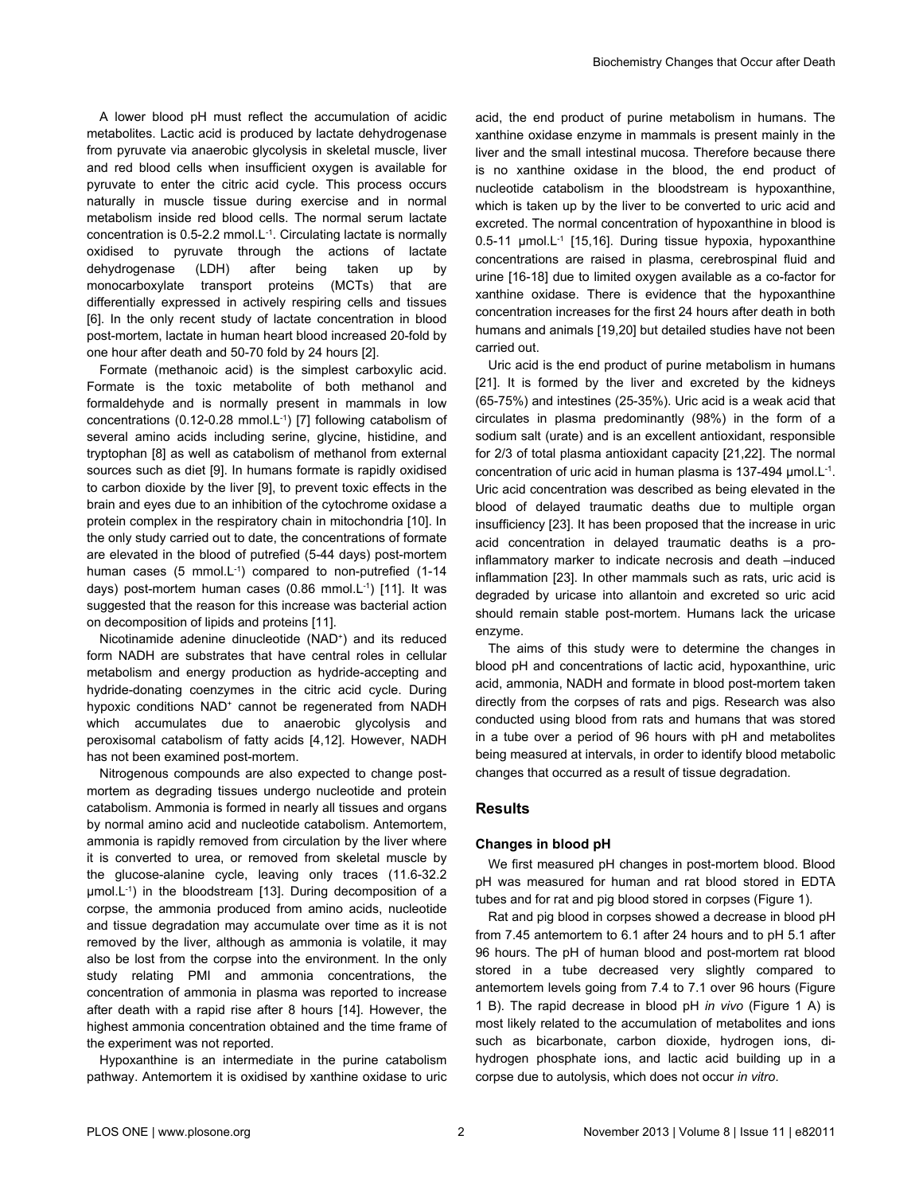A lower blood pH must reflect the accumulation of acidic metabolites. Lactic acid is produced by lactate dehydrogenase from pyruvate via anaerobic glycolysis in skeletal muscle, liver and red blood cells when insufficient oxygen is available for pyruvate to enter the citric acid cycle. This process occurs naturally in muscle tissue during exercise and in normal metabolism inside red blood cells. The normal serum lactate concentration is 0.5-2.2 mmol.L-1. Circulating lactate is normally oxidised to pyruvate through the actions of lactate dehydrogenase (LDH) after being taken up by monocarboxylate transport proteins (MCTs) that are differentially expressed in actively respiring cells and tissues [[6\]](#page-8-0). In the only recent study of lactate concentration in blood post-mortem, lactate in human heart blood increased 20-fold by one hour after death and 50-70 fold by 24 hours [\[2](#page-8-0)].

Formate (methanoic acid) is the simplest carboxylic acid. Formate is the toxic metabolite of both methanol and formaldehyde and is normally present in mammals in low concentrations (0.12-0.28 mmol.L-1) [[7\]](#page-8-0) following catabolism of several amino acids including serine, glycine, histidine, and tryptophan [\[8\]](#page-8-0) as well as catabolism of methanol from external sources such as diet [[9](#page-8-0)]. In humans formate is rapidly oxidised to carbon dioxide by the liver [[9](#page-8-0)], to prevent toxic effects in the brain and eyes due to an inhibition of the cytochrome oxidase a protein complex in the respiratory chain in mitochondria [[10](#page-8-0)]. In the only study carried out to date, the concentrations of formate are elevated in the blood of putrefied (5-44 days) post-mortem human cases (5 mmol.L<sup>-1</sup>) compared to non-putrefied (1-14 days) post-mortem human cases (0.86 mmol.L-1) [[11](#page-8-0)]. It was suggested that the reason for this increase was bacterial action on decomposition of lipids and proteins [\[11\]](#page-8-0).

Nicotinamide adenine dinucleotide (NAD<sup>+</sup> ) and its reduced form NADH are substrates that have central roles in cellular metabolism and energy production as hydride-accepting and hydride-donating coenzymes in the citric acid cycle. During hypoxic conditions NAD<sup>+</sup> cannot be regenerated from NADH which accumulates due to anaerobic glycolysis and peroxisomal catabolism of fatty acids [[4,12](#page-8-0)]. However, NADH has not been examined post-mortem.

Nitrogenous compounds are also expected to change postmortem as degrading tissues undergo nucleotide and protein catabolism. Ammonia is formed in nearly all tissues and organs by normal amino acid and nucleotide catabolism. Antemortem, ammonia is rapidly removed from circulation by the liver where it is converted to urea, or removed from skeletal muscle by the glucose-alanine cycle, leaving only traces (11.6-32.2 μmol.L-1) in the bloodstream [\[13\]](#page-8-0). During decomposition of a corpse, the ammonia produced from amino acids, nucleotide and tissue degradation may accumulate over time as it is not removed by the liver, although as ammonia is volatile, it may also be lost from the corpse into the environment. In the only study relating PMI and ammonia concentrations, the concentration of ammonia in plasma was reported to increase after death with a rapid rise after 8 hours [\[14\]](#page-8-0). However, the highest ammonia concentration obtained and the time frame of the experiment was not reported.

Hypoxanthine is an intermediate in the purine catabolism pathway. Antemortem it is oxidised by xanthine oxidase to uric

acid, the end product of purine metabolism in humans. The xanthine oxidase enzyme in mammals is present mainly in the liver and the small intestinal mucosa. Therefore because there is no xanthine oxidase in the blood, the end product of nucleotide catabolism in the bloodstream is hypoxanthine, which is taken up by the liver to be converted to uric acid and excreted. The normal concentration of hypoxanthine in blood is 0.5-11 μmol.L-1 [\[15,16](#page-8-0)]. During tissue hypoxia, hypoxanthine concentrations are raised in plasma, cerebrospinal fluid and urine [[16-18\]](#page-8-0) due to limited oxygen available as a co-factor for xanthine oxidase. There is evidence that the hypoxanthine concentration increases for the first 24 hours after death in both humans and animals [[19](#page-8-0),[20](#page-8-0)] but detailed studies have not been carried out.

Uric acid is the end product of purine metabolism in humans [[21](#page-8-0)]. It is formed by the liver and excreted by the kidneys (65-75%) and intestines (25-35%). Uric acid is a weak acid that circulates in plasma predominantly (98%) in the form of a sodium salt (urate) and is an excellent antioxidant, responsible for 2/3 of total plasma antioxidant capacity [\[21,22](#page-8-0)]. The normal concentration of uric acid in human plasma is 137-494 µmol.L-1 . Uric acid concentration was described as being elevated in the blood of delayed traumatic deaths due to multiple organ insufficiency [[23](#page-8-0)]. It has been proposed that the increase in uric acid concentration in delayed traumatic deaths is a proinflammatory marker to indicate necrosis and death –induced inflammation [\[23\]](#page-8-0). In other mammals such as rats, uric acid is degraded by uricase into allantoin and excreted so uric acid should remain stable post-mortem. Humans lack the uricase enzyme.

The aims of this study were to determine the changes in blood pH and concentrations of lactic acid, hypoxanthine, uric acid, ammonia, NADH and formate in blood post-mortem taken directly from the corpses of rats and pigs. Research was also conducted using blood from rats and humans that was stored in a tube over a period of 96 hours with pH and metabolites being measured at intervals, in order to identify blood metabolic changes that occurred as a result of tissue degradation.

# **Results**

# **Changes in blood pH**

We first measured pH changes in post-mortem blood. Blood pH was measured for human and rat blood stored in EDTA tubes and for rat and pig blood stored in corpses [\(Figure 1](#page-2-0)).

Rat and pig blood in corpses showed a decrease in blood pH from 7.45 antemortem to 6.1 after 24 hours and to pH 5.1 after 96 hours. The pH of human blood and post-mortem rat blood stored in a tube decreased very slightly compared to antemortem levels going from 7.4 to 7.1 over 96 hours [\(Figure](#page-2-0) [1 B\)](#page-2-0). The rapid decrease in blood pH *in vivo* ([Figure 1 A\)](#page-2-0) is most likely related to the accumulation of metabolites and ions such as bicarbonate, carbon dioxide, hydrogen ions, dihydrogen phosphate ions, and lactic acid building up in a corpse due to autolysis, which does not occur *in vitro*.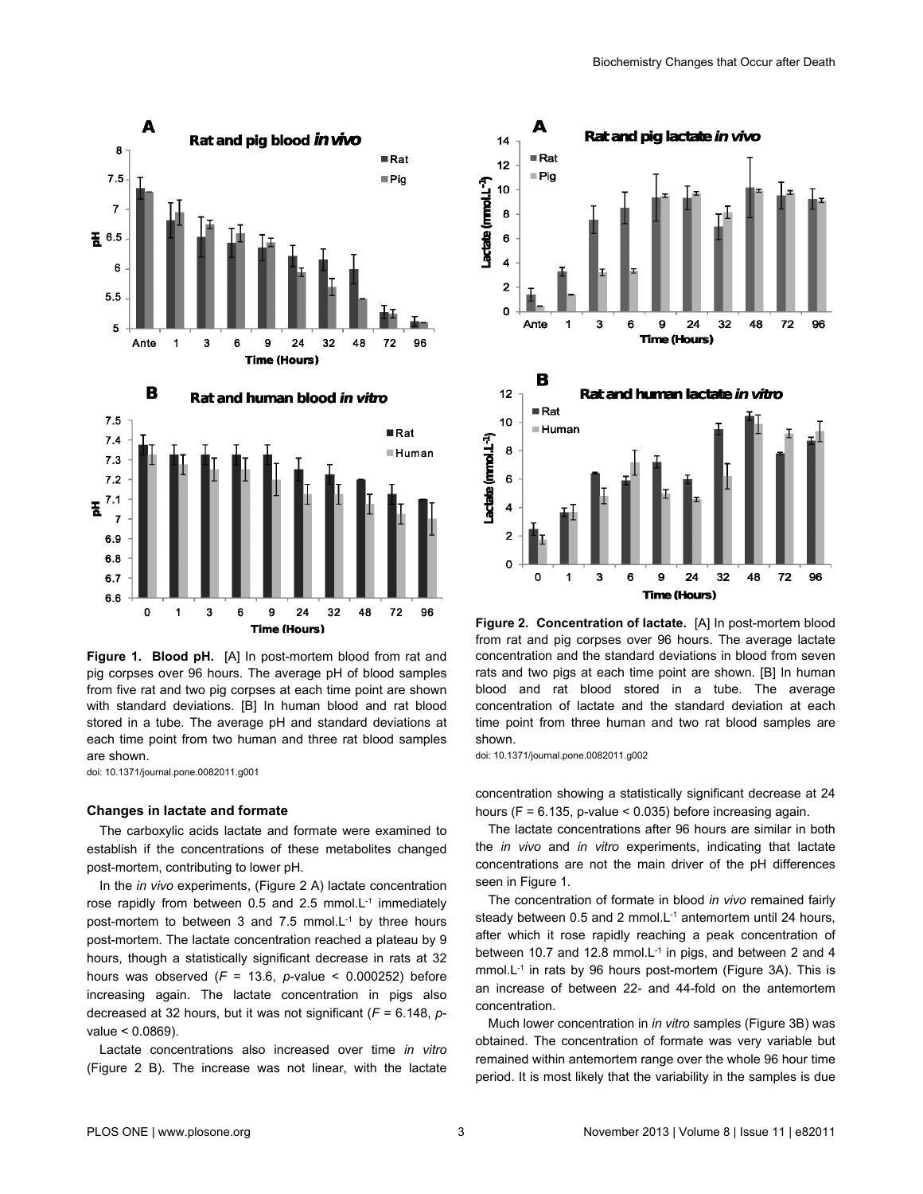<span id="page-2-0"></span>

**Figure 1. Blood pH.** [A] In post-mortem blood from rat and pig corpses over 96 hours. The average pH of blood samples from five rat and two pig corpses at each time point are shown with standard deviations. [B] In human blood and rat blood stored in a tube. The average pH and standard deviations at each time point from two human and three rat blood samples are shown.

doi: 10.1371/journal.pone.0082011.g001

#### **Changes in lactate and formate**

The carboxylic acids lactate and formate were examined to establish if the concentrations of these metabolites changed post-mortem, contributing to lower pH.

In the *in vivo* experiments, (Figure 2 A) lactate concentration rose rapidly from between 0.5 and 2.5 mmol. $L<sup>-1</sup>$  immediately post-mortem to between 3 and 7.5 mmol.L<sup>-1</sup> by three hours post-mortem. The lactate concentration reached a plateau by 9 hours, though a statistically significant decrease in rats at 32 hours was observed  $(F = 13.6, p-value < 0.000252)$  before increasing again. The lactate concentration in pigs also decreased at 32 hours, but it was not significant (*F* = 6.148, *p*value < 0.0869).

Lactate concentrations also increased over time *in vitro* (Figure 2 B). The increase was not linear, with the lactate



**Figure 2. Concentration of lactate.** [A] In post-mortem blood from rat and pig corpses over 96 hours. The average lactate concentration and the standard deviations in blood from seven rats and two pigs at each time point are shown. [B] In human blood and rat blood stored in a tube. The average concentration of lactate and the standard deviation at each time point from three human and two rat blood samples are shown.

doi: 10.1371/journal.pone.0082011.g002

concentration showing a statistically significant decrease at 24 hours ( $F = 6.135$ , p-value < 0.035) before increasing again.

The lactate concentrations after 96 hours are similar in both the *in vivo* and *in vitro* experiments, indicating that lactate concentrations are not the main driver of the pH differences seen in Figure 1.

The concentration of formate in blood *in vivo* remained fairly steady between 0.5 and 2 mmol. $L^{-1}$  antemortem until 24 hours, after which it rose rapidly reaching a peak concentration of between 10.7 and 12.8 mmol.L<sup>-1</sup> in pigs, and between 2 and 4 mmol.L<sup>-1</sup> in rats by 96 hours post-mortem [\(Figure 3A](#page-3-0)). This is an increase of between 22- and 44-fold on the antemortem concentration.

Much lower concentration in *in vitro* samples ([Figure 3B](#page-3-0)) was obtained. The concentration of formate was very variable but remained within antemortem range over the whole 96 hour time period. It is most likely that the variability in the samples is due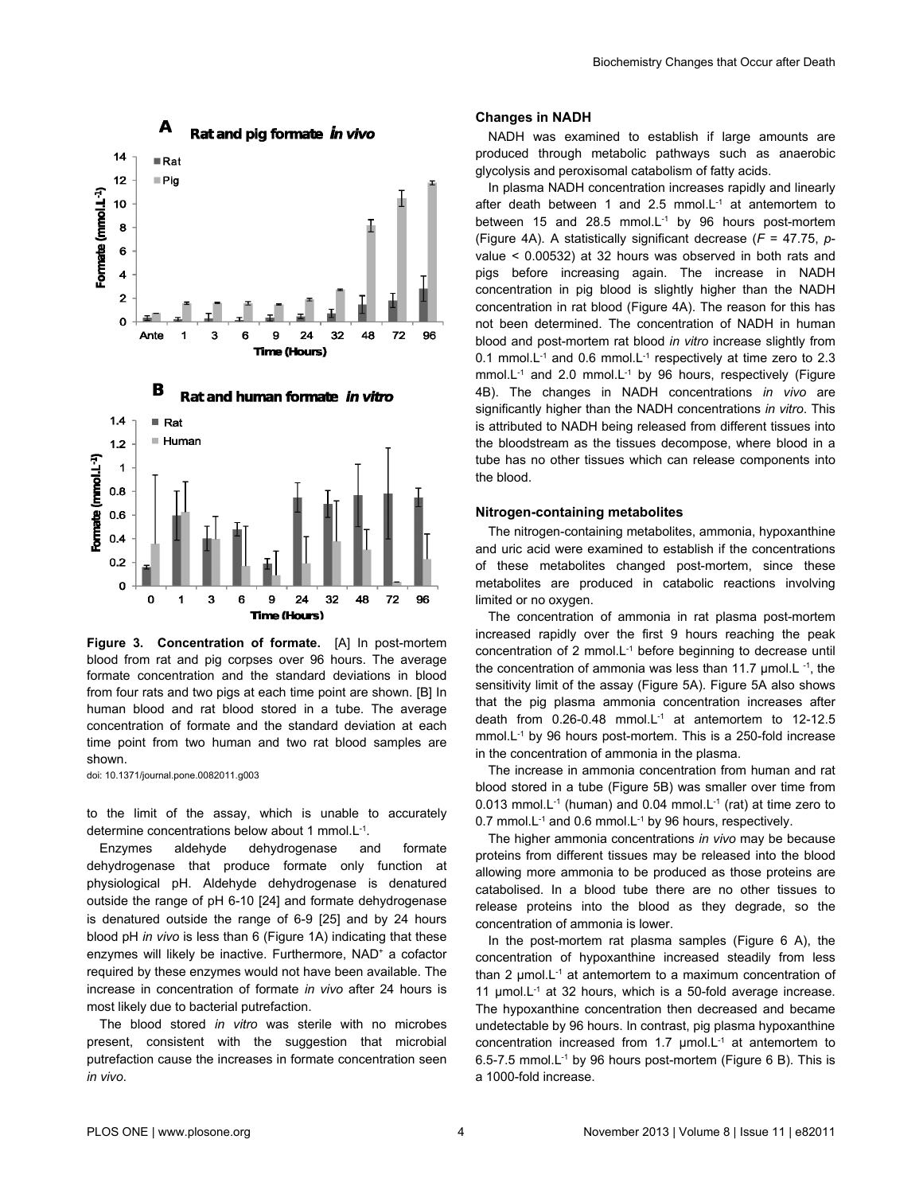<span id="page-3-0"></span>



**Figure 3. Concentration of formate.** [A] In post-mortem blood from rat and pig corpses over 96 hours. The average formate concentration and the standard deviations in blood from four rats and two pigs at each time point are shown. [B] In human blood and rat blood stored in a tube. The average concentration of formate and the standard deviation at each time point from two human and two rat blood samples are shown.

doi: 10.1371/journal.pone.0082011.g003

to the limit of the assay, which is unable to accurately determine concentrations below about 1 mmol.L-1 .

Enzymes aldehyde dehydrogenase and formate dehydrogenase that produce formate only function at physiological pH. Aldehyde dehydrogenase is denatured outside the range of pH 6-10 [\[24](#page-8-0)] and formate dehydrogenase is denatured outside the range of 6-9 [\[25\]](#page-8-0) and by 24 hours blood pH *in vivo* is less than 6 ([Figure 1A\)](#page-2-0) indicating that these enzymes will likely be inactive. Furthermore, NAD<sup>+</sup> a cofactor required by these enzymes would not have been available. The increase in concentration of formate *in vivo* after 24 hours is most likely due to bacterial putrefaction.

The blood stored *in vitro* was sterile with no microbes present, consistent with the suggestion that microbial putrefaction cause the increases in formate concentration seen *in vivo*.

#### **Changes in NADH**

NADH was examined to establish if large amounts are produced through metabolic pathways such as anaerobic glycolysis and peroxisomal catabolism of fatty acids.

In plasma NADH concentration increases rapidly and linearly after death between 1 and 2.5 mmol.L<sup>-1</sup> at antemortem to between 15 and 28.5 mmol.L-1 by 96 hours post-mortem [\(Figure 4A](#page-4-0)). A statistically significant decrease (*F* = 47.75, *p*value < 0.00532) at 32 hours was observed in both rats and pigs before increasing again. The increase in NADH concentration in pig blood is slightly higher than the NADH concentration in rat blood ([Figure 4A](#page-4-0)). The reason for this has not been determined. The concentration of NADH in human blood and post-mortem rat blood *in vitro* increase slightly from 0.1 mmol.L<sup>-1</sup> and 0.6 mmol.L<sup>-1</sup> respectively at time zero to 2.3 mmol.L<sup>-1</sup> and 2.0 mmol.L<sup>-1</sup> by 96 hours, respectively [\(Figure](#page-4-0) [4B\)](#page-4-0). The changes in NADH concentrations *in vivo* are significantly higher than the NADH concentrations *in vitro*. This is attributed to NADH being released from different tissues into the bloodstream as the tissues decompose, where blood in a tube has no other tissues which can release components into the blood.

#### **Nitrogen-containing metabolites**

The nitrogen-containing metabolites, ammonia, hypoxanthine and uric acid were examined to establish if the concentrations of these metabolites changed post-mortem, since these metabolites are produced in catabolic reactions involving limited or no oxygen.

The concentration of ammonia in rat plasma post-mortem increased rapidly over the first 9 hours reaching the peak concentration of 2 mmol.L-1 before beginning to decrease until the concentration of ammonia was less than 11.7  $\mu$ mol.L <sup>-1</sup>, the sensitivity limit of the assay ([Figure 5A](#page-4-0)). [Figure 5A](#page-4-0) also shows that the pig plasma ammonia concentration increases after death from 0.26-0.48 mmol.L-1 at antemortem to 12-12.5 mmol.L<sup>-1</sup> by 96 hours post-mortem. This is a 250-fold increase in the concentration of ammonia in the plasma.

The increase in ammonia concentration from human and rat blood stored in a tube [\(Figure 5B\)](#page-4-0) was smaller over time from 0.013 mmol.L-1 (human) and 0.04 mmol.L-1 (rat) at time zero to 0.7 mmol.L<sup>-1</sup> and 0.6 mmol.L<sup>-1</sup> by 96 hours, respectively.

The higher ammonia concentrations *in vivo* may be because proteins from different tissues may be released into the blood allowing more ammonia to be produced as those proteins are catabolised. In a blood tube there are no other tissues to release proteins into the blood as they degrade, so the concentration of ammonia is lower.

In the post-mortem rat plasma samples [\(Figure 6 A\)](#page-5-0), the concentration of hypoxanthine increased steadily from less than 2  $\mu$ mol.L<sup>-1</sup> at antemortem to a maximum concentration of 11  $\mu$ mol.L<sup>-1</sup> at 32 hours, which is a 50-fold average increase. The hypoxanthine concentration then decreased and became undetectable by 96 hours. In contrast, pig plasma hypoxanthine concentration increased from 1.7  $\mu$ mol.L<sup>-1</sup> at antemortem to 6.5-7.5 mmol.L<sup>-1</sup> by 96 hours post-mortem [\(Figure 6 B](#page-5-0)). This is a 1000-fold increase.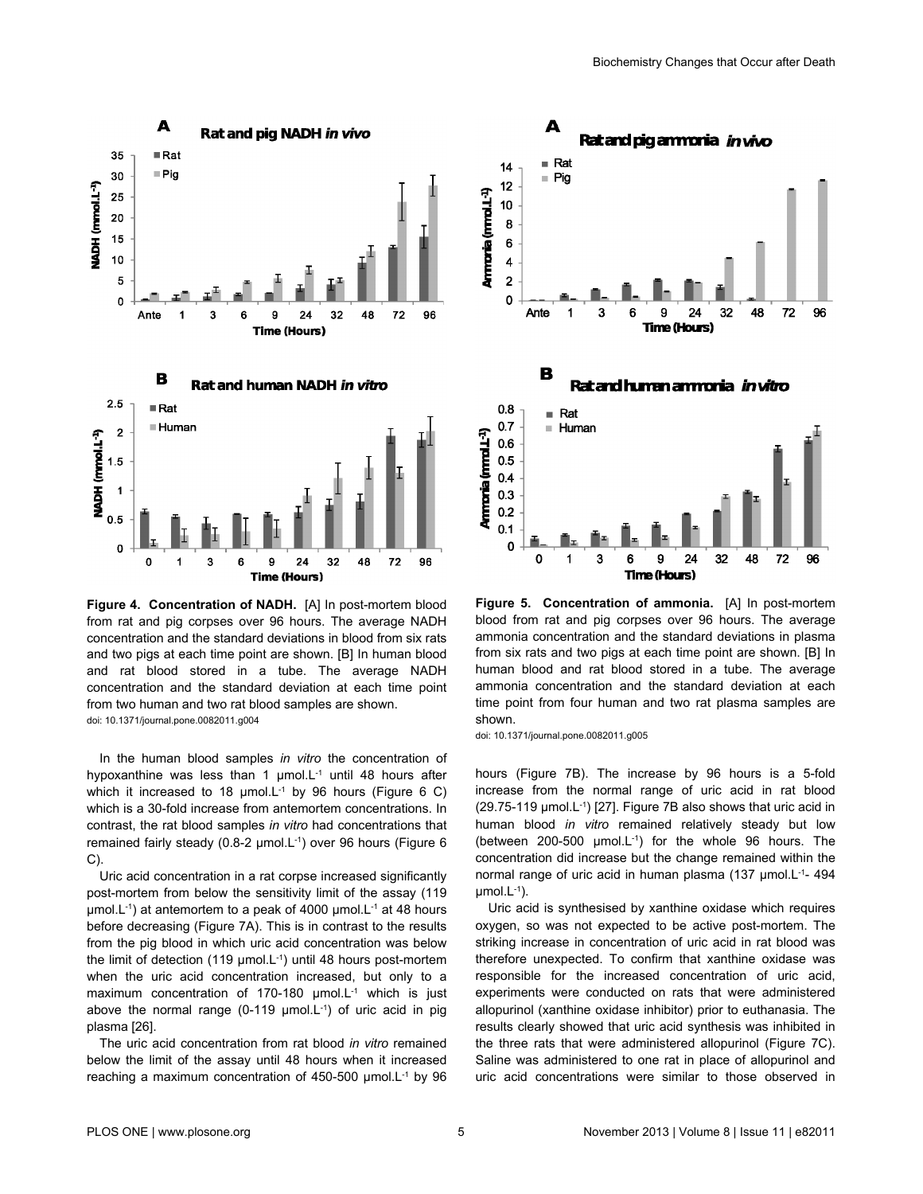

<span id="page-4-0"></span>

**Figure 4. Concentration of NADH.** [A] In post-mortem blood from rat and pig corpses over 96 hours. The average NADH concentration and the standard deviations in blood from six rats and two pigs at each time point are shown. [B] In human blood and rat blood stored in a tube. The average NADH concentration and the standard deviation at each time point from two human and two rat blood samples are shown. doi: 10.1371/journal.pone.0082011.g004

In the human blood samples *in vitro* the concentration of hypoxanthine was less than 1  $\mu$ mol.L<sup>-1</sup> until 48 hours after which it increased to 18  $\mu$ mol.L<sup>-1</sup> by 96 hours ([Figure 6 C\)](#page-5-0) which is a 30-fold increase from antemortem concentrations. In contrast, the rat blood samples *in vitro* had concentrations that remained fairly steady (0.8-2 μmol.L-1) over 96 hours ([Figure 6](#page-5-0) [C\)](#page-5-0).

Uric acid concentration in a rat corpse increased significantly post-mortem from below the sensitivity limit of the assay (119 μmol.L<sup>-1</sup>) at antemortem to a peak of 4000 μmol.L<sup>-1</sup> at 48 hours before decreasing ([Figure 7A\)](#page-5-0). This is in contrast to the results from the pig blood in which uric acid concentration was below the limit of detection (119  $\mu$ mol.L<sup>-1</sup>) until 48 hours post-mortem when the uric acid concentration increased, but only to a maximum concentration of 170-180 µmol.L<sup>-1</sup> which is just above the normal range (0-119  $\mu$ mol.L<sup>-1</sup>) of uric acid in pig plasma [[26](#page-8-0)].

The uric acid concentration from rat blood *in vitro* remained below the limit of the assay until 48 hours when it increased reaching a maximum concentration of 450-500 μmol.L-1 by 96



**Figure 5. Concentration of ammonia.** [A] In post-mortem blood from rat and pig corpses over 96 hours. The average ammonia concentration and the standard deviations in plasma from six rats and two pigs at each time point are shown. [B] In human blood and rat blood stored in a tube. The average ammonia concentration and the standard deviation at each time point from four human and two rat plasma samples are shown.

doi: 10.1371/journal.pone.0082011.g005

hours [\(Figure 7B](#page-5-0)). The increase by 96 hours is a 5-fold increase from the normal range of uric acid in rat blood  $(29.75-119 \mu \text{mol} \cdot \text{L}^1)$  [[27](#page-8-0)]. [Figure 7B](#page-5-0) also shows that uric acid in human blood *in vitro* remained relatively steady but low (between 200-500 μmol.L-1) for the whole 96 hours. The concentration did increase but the change remained within the normal range of uric acid in human plasma (137 µmol.L<sup>-1</sup>- 494  $µmol.L^{-1}$ ).

Uric acid is synthesised by xanthine oxidase which requires oxygen, so was not expected to be active post-mortem. The striking increase in concentration of uric acid in rat blood was therefore unexpected. To confirm that xanthine oxidase was responsible for the increased concentration of uric acid, experiments were conducted on rats that were administered allopurinol (xanthine oxidase inhibitor) prior to euthanasia. The results clearly showed that uric acid synthesis was inhibited in the three rats that were administered allopurinol [\(Figure 7C](#page-5-0)). Saline was administered to one rat in place of allopurinol and uric acid concentrations were similar to those observed in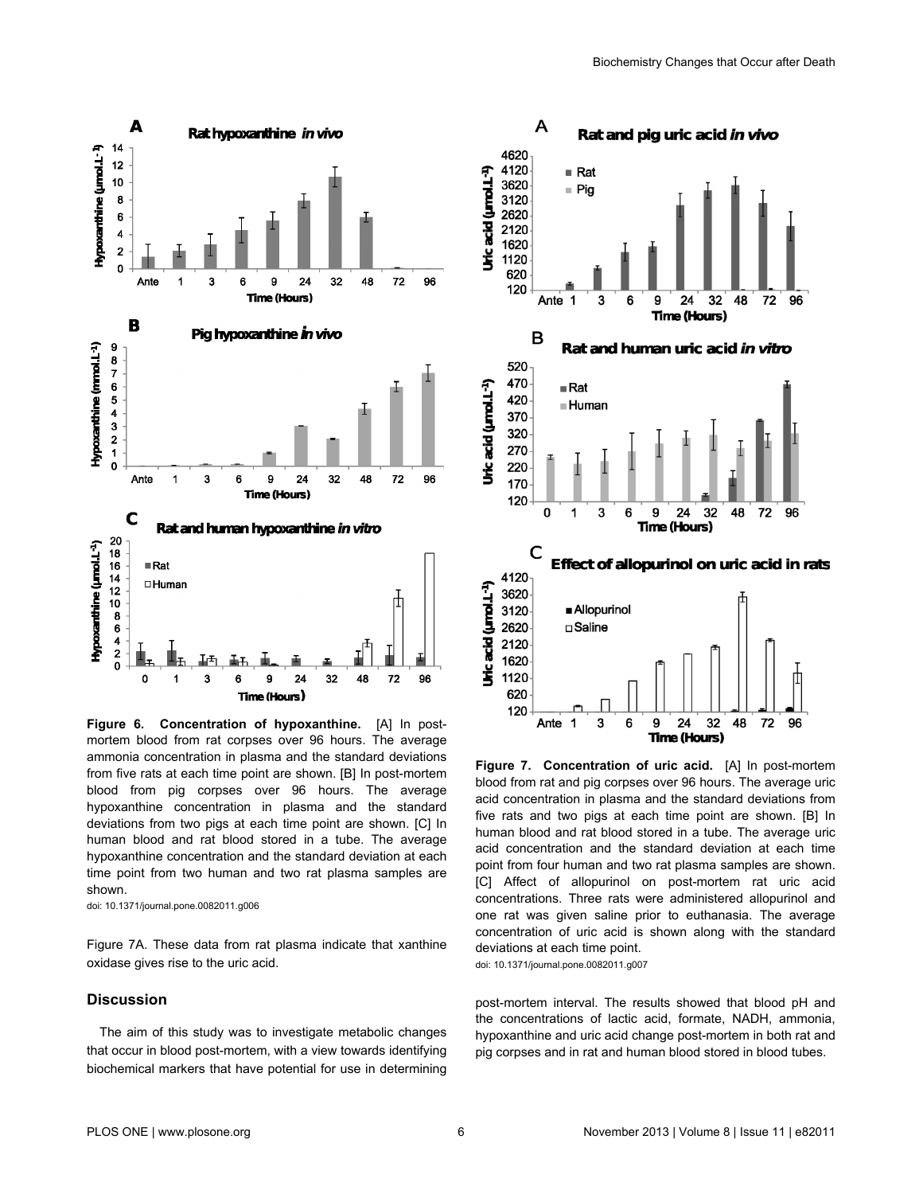<span id="page-5-0"></span>

**Figure 6. Concentration of hypoxanthine.** [A] In postmortem blood from rat corpses over 96 hours. The average ammonia concentration in plasma and the standard deviations from five rats at each time point are shown. [B] In post-mortem blood from pig corpses over 96 hours. The average hypoxanthine concentration in plasma and the standard deviations from two pigs at each time point are shown. [C] In human blood and rat blood stored in a tube. The average hypoxanthine concentration and the standard deviation at each time point from two human and two rat plasma samples are shown.

doi: 10.1371/journal.pone.0082011.g006

Figure 7A. These data from rat plasma indicate that xanthine oxidase gives rise to the uric acid.

#### **Discussion**

The aim of this study was to investigate metabolic changes that occur in blood post-mortem, with a view towards identifying biochemical markers that have potential for use in determining



**Figure 7. Concentration of uric acid.** [A] In post-mortem blood from rat and pig corpses over 96 hours. The average uric acid concentration in plasma and the standard deviations from five rats and two pigs at each time point are shown. [B] In human blood and rat blood stored in a tube. The average uric acid concentration and the standard deviation at each time point from four human and two rat plasma samples are shown. [C] Affect of allopurinol on post-mortem rat uric acid concentrations. Three rats were administered allopurinol and one rat was given saline prior to euthanasia. The average concentration of uric acid is shown along with the standard deviations at each time point. doi: 10.1371/journal.pone.0082011.g007

post-mortem interval. The results showed that blood pH and the concentrations of lactic acid, formate, NADH, ammonia, hypoxanthine and uric acid change post-mortem in both rat and pig corpses and in rat and human blood stored in blood tubes.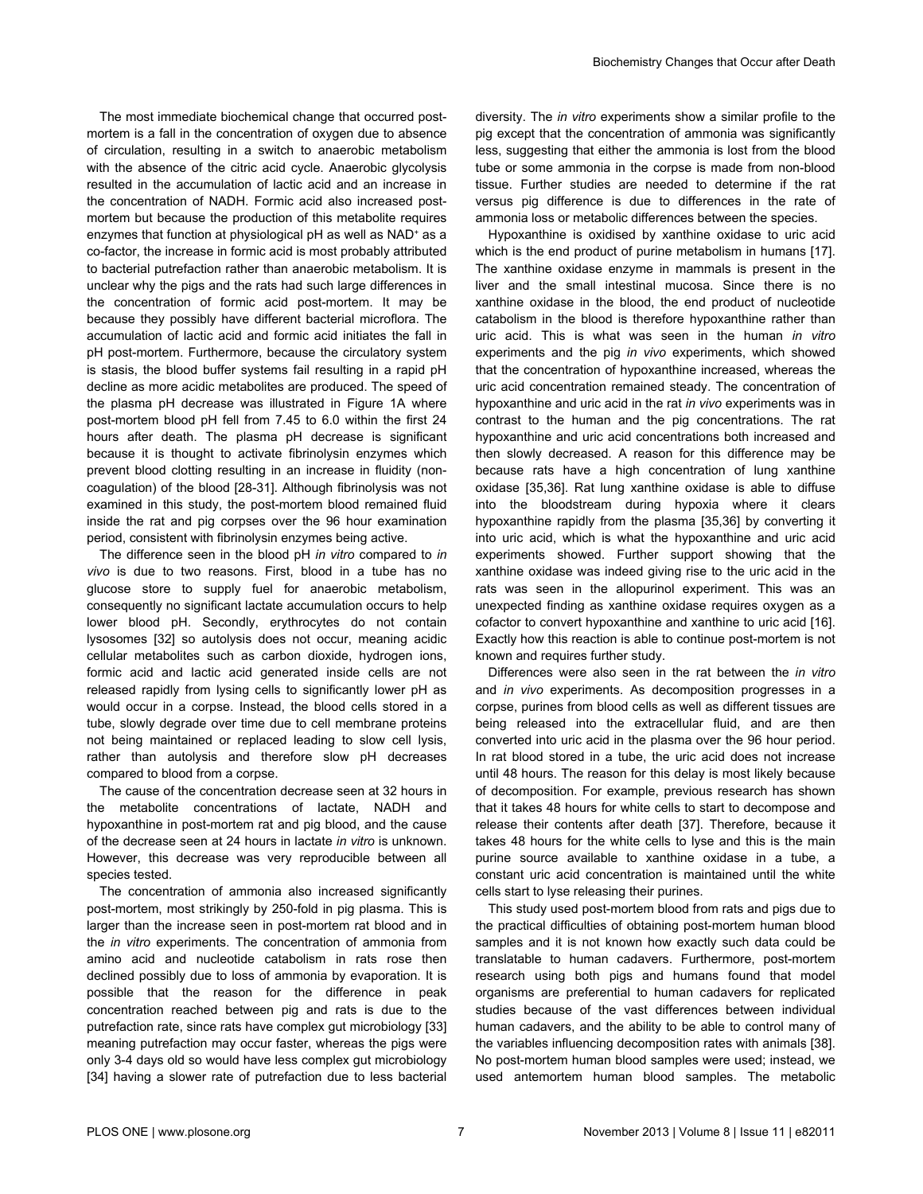The most immediate biochemical change that occurred postmortem is a fall in the concentration of oxygen due to absence of circulation, resulting in a switch to anaerobic metabolism with the absence of the citric acid cycle. Anaerobic glycolysis resulted in the accumulation of lactic acid and an increase in the concentration of NADH. Formic acid also increased postmortem but because the production of this metabolite requires enzymes that function at physiological pH as well as NAD<sup>+</sup> as a co-factor, the increase in formic acid is most probably attributed to bacterial putrefaction rather than anaerobic metabolism. It is unclear why the pigs and the rats had such large differences in the concentration of formic acid post-mortem. It may be because they possibly have different bacterial microflora. The accumulation of lactic acid and formic acid initiates the fall in pH post-mortem. Furthermore, because the circulatory system is stasis, the blood buffer systems fail resulting in a rapid pH decline as more acidic metabolites are produced. The speed of the plasma pH decrease was illustrated in [Figure 1A](#page-2-0) where post-mortem blood pH fell from 7.45 to 6.0 within the first 24 hours after death. The plasma pH decrease is significant because it is thought to activate fibrinolysin enzymes which prevent blood clotting resulting in an increase in fluidity (noncoagulation) of the blood [[28-31\]](#page-8-0). Although fibrinolysis was not examined in this study, the post-mortem blood remained fluid inside the rat and pig corpses over the 96 hour examination period, consistent with fibrinolysin enzymes being active.

The difference seen in the blood pH *in vitro* compared to *in vivo* is due to two reasons. First, blood in a tube has no glucose store to supply fuel for anaerobic metabolism, consequently no significant lactate accumulation occurs to help lower blood pH. Secondly, erythrocytes do not contain lysosomes [\[32\]](#page-8-0) so autolysis does not occur, meaning acidic cellular metabolites such as carbon dioxide, hydrogen ions, formic acid and lactic acid generated inside cells are not released rapidly from lysing cells to significantly lower pH as would occur in a corpse. Instead, the blood cells stored in a tube, slowly degrade over time due to cell membrane proteins not being maintained or replaced leading to slow cell lysis, rather than autolysis and therefore slow pH decreases compared to blood from a corpse.

The cause of the concentration decrease seen at 32 hours in the metabolite concentrations of lactate, NADH and hypoxanthine in post-mortem rat and pig blood, and the cause of the decrease seen at 24 hours in lactate *in vitro* is unknown. However, this decrease was very reproducible between all species tested.

The concentration of ammonia also increased significantly post-mortem, most strikingly by 250-fold in pig plasma. This is larger than the increase seen in post-mortem rat blood and in the *in vitro* experiments. The concentration of ammonia from amino acid and nucleotide catabolism in rats rose then declined possibly due to loss of ammonia by evaporation. It is possible that the reason for the difference in peak concentration reached between pig and rats is due to the putrefaction rate, since rats have complex gut microbiology [[33](#page-8-0)] meaning putrefaction may occur faster, whereas the pigs were only 3-4 days old so would have less complex gut microbiology [[34](#page-8-0)] having a slower rate of putrefaction due to less bacterial

diversity. The *in vitro* experiments show a similar profile to the pig except that the concentration of ammonia was significantly less, suggesting that either the ammonia is lost from the blood tube or some ammonia in the corpse is made from non-blood tissue. Further studies are needed to determine if the rat versus pig difference is due to differences in the rate of ammonia loss or metabolic differences between the species.

Hypoxanthine is oxidised by xanthine oxidase to uric acid which is the end product of purine metabolism in humans [\[17\]](#page-8-0). The xanthine oxidase enzyme in mammals is present in the liver and the small intestinal mucosa. Since there is no xanthine oxidase in the blood, the end product of nucleotide catabolism in the blood is therefore hypoxanthine rather than uric acid. This is what was seen in the human *in vitro* experiments and the pig *in vivo* experiments, which showed that the concentration of hypoxanthine increased, whereas the uric acid concentration remained steady. The concentration of hypoxanthine and uric acid in the rat *in vivo* experiments was in contrast to the human and the pig concentrations. The rat hypoxanthine and uric acid concentrations both increased and then slowly decreased. A reason for this difference may be because rats have a high concentration of lung xanthine oxidase [\[35,36](#page-9-0)]. Rat lung xanthine oxidase is able to diffuse into the bloodstream during hypoxia where it clears hypoxanthine rapidly from the plasma [[35,36\]](#page-9-0) by converting it into uric acid, which is what the hypoxanthine and uric acid experiments showed. Further support showing that the xanthine oxidase was indeed giving rise to the uric acid in the rats was seen in the allopurinol experiment. This was an unexpected finding as xanthine oxidase requires oxygen as a cofactor to convert hypoxanthine and xanthine to uric acid [\[16\]](#page-8-0). Exactly how this reaction is able to continue post-mortem is not known and requires further study.

Differences were also seen in the rat between the *in vitro* and *in vivo* experiments. As decomposition progresses in a corpse, purines from blood cells as well as different tissues are being released into the extracellular fluid, and are then converted into uric acid in the plasma over the 96 hour period. In rat blood stored in a tube, the uric acid does not increase until 48 hours. The reason for this delay is most likely because of decomposition. For example, previous research has shown that it takes 48 hours for white cells to start to decompose and release their contents after death [[37](#page-9-0)]. Therefore, because it takes 48 hours for the white cells to lyse and this is the main purine source available to xanthine oxidase in a tube, a constant uric acid concentration is maintained until the white cells start to lyse releasing their purines.

This study used post-mortem blood from rats and pigs due to the practical difficulties of obtaining post-mortem human blood samples and it is not known how exactly such data could be translatable to human cadavers. Furthermore, post-mortem research using both pigs and humans found that model organisms are preferential to human cadavers for replicated studies because of the vast differences between individual human cadavers, and the ability to be able to control many of the variables influencing decomposition rates with animals [\[38\]](#page-9-0). No post-mortem human blood samples were used; instead, we used antemortem human blood samples. The metabolic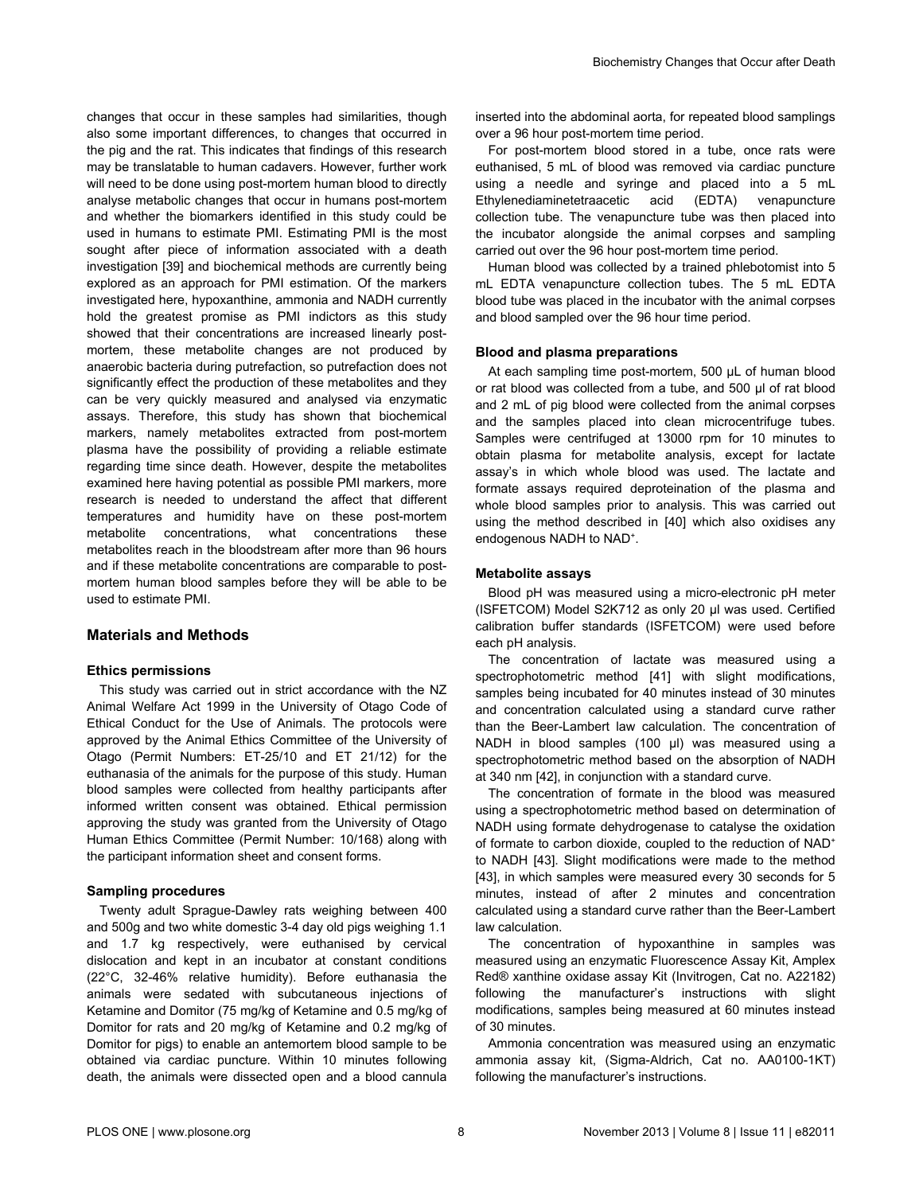changes that occur in these samples had similarities, though also some important differences, to changes that occurred in the pig and the rat. This indicates that findings of this research may be translatable to human cadavers. However, further work will need to be done using post-mortem human blood to directly analyse metabolic changes that occur in humans post-mortem and whether the biomarkers identified in this study could be used in humans to estimate PMI. Estimating PMI is the most sought after piece of information associated with a death investigation [\[39\]](#page-9-0) and biochemical methods are currently being explored as an approach for PMI estimation. Of the markers investigated here, hypoxanthine, ammonia and NADH currently hold the greatest promise as PMI indictors as this study showed that their concentrations are increased linearly postmortem, these metabolite changes are not produced by anaerobic bacteria during putrefaction, so putrefaction does not significantly effect the production of these metabolites and they can be very quickly measured and analysed via enzymatic assays. Therefore, this study has shown that biochemical markers, namely metabolites extracted from post-mortem plasma have the possibility of providing a reliable estimate regarding time since death. However, despite the metabolites examined here having potential as possible PMI markers, more research is needed to understand the affect that different temperatures and humidity have on these post-mortem metabolite concentrations, what concentrations these metabolites reach in the bloodstream after more than 96 hours and if these metabolite concentrations are comparable to postmortem human blood samples before they will be able to be used to estimate PMI.

## **Materials and Methods**

# **Ethics permissions**

This study was carried out in strict accordance with the NZ Animal Welfare Act 1999 in the University of Otago Code of Ethical Conduct for the Use of Animals. The protocols were approved by the Animal Ethics Committee of the University of Otago (Permit Numbers: ET-25/10 and ET 21/12) for the euthanasia of the animals for the purpose of this study. Human blood samples were collected from healthy participants after informed written consent was obtained. Ethical permission approving the study was granted from the University of Otago Human Ethics Committee (Permit Number: 10/168) along with the participant information sheet and consent forms.

### **Sampling procedures**

Twenty adult Sprague-Dawley rats weighing between 400 and 500g and two white domestic 3-4 day old pigs weighing 1.1 and 1.7 kg respectively, were euthanised by cervical dislocation and kept in an incubator at constant conditions (22°C, 32-46% relative humidity). Before euthanasia the animals were sedated with subcutaneous injections of Ketamine and Domitor (75 mg/kg of Ketamine and 0.5 mg/kg of Domitor for rats and 20 mg/kg of Ketamine and 0.2 mg/kg of Domitor for pigs) to enable an antemortem blood sample to be obtained via cardiac puncture. Within 10 minutes following death, the animals were dissected open and a blood cannula

inserted into the abdominal aorta, for repeated blood samplings over a 96 hour post-mortem time period.

For post-mortem blood stored in a tube, once rats were euthanised, 5 mL of blood was removed via cardiac puncture using a needle and syringe and placed into a 5 mL Ethylenediaminetetraacetic acid (EDTA) venapuncture collection tube. The venapuncture tube was then placed into the incubator alongside the animal corpses and sampling carried out over the 96 hour post-mortem time period.

Human blood was collected by a trained phlebotomist into 5 mL EDTA venapuncture collection tubes. The 5 mL EDTA blood tube was placed in the incubator with the animal corpses and blood sampled over the 96 hour time period.

#### **Blood and plasma preparations**

At each sampling time post-mortem, 500 μL of human blood or rat blood was collected from a tube, and 500 μl of rat blood and 2 mL of pig blood were collected from the animal corpses and the samples placed into clean microcentrifuge tubes. Samples were centrifuged at 13000 rpm for 10 minutes to obtain plasma for metabolite analysis, except for lactate assay's in which whole blood was used. The lactate and formate assays required deproteination of the plasma and whole blood samples prior to analysis. This was carried out using the method described in [[40\]](#page-9-0) which also oxidises any endogenous NADH to NAD<sup>+</sup>.

#### **Metabolite assays**

Blood pH was measured using a micro-electronic pH meter (ISFETCOM) Model S2K712 as only 20 µl was used. Certified calibration buffer standards (ISFETCOM) were used before each pH analysis.

The concentration of lactate was measured using a spectrophotometric method [\[41\]](#page-9-0) with slight modifications, samples being incubated for 40 minutes instead of 30 minutes and concentration calculated using a standard curve rather than the Beer-Lambert law calculation. The concentration of NADH in blood samples (100 μl) was measured using a spectrophotometric method based on the absorption of NADH at 340 nm [\[42](#page-9-0)], in conjunction with a standard curve.

The concentration of formate in the blood was measured using a spectrophotometric method based on determination of NADH using formate dehydrogenase to catalyse the oxidation of formate to carbon dioxide, coupled to the reduction of NAD<sup>+</sup> to NADH [\[43\]](#page-9-0). Slight modifications were made to the method [[43](#page-9-0)], in which samples were measured every 30 seconds for 5 minutes, instead of after 2 minutes and concentration calculated using a standard curve rather than the Beer-Lambert law calculation.

The concentration of hypoxanthine in samples was measured using an enzymatic Fluorescence Assay Kit, Amplex Red® xanthine oxidase assay Kit (Invitrogen, Cat no. A22182) following the manufacturer's instructions with slight modifications, samples being measured at 60 minutes instead of 30 minutes.

Ammonia concentration was measured using an enzymatic ammonia assay kit, (Sigma-Aldrich, Cat no. AA0100-1KT) following the manufacturer's instructions.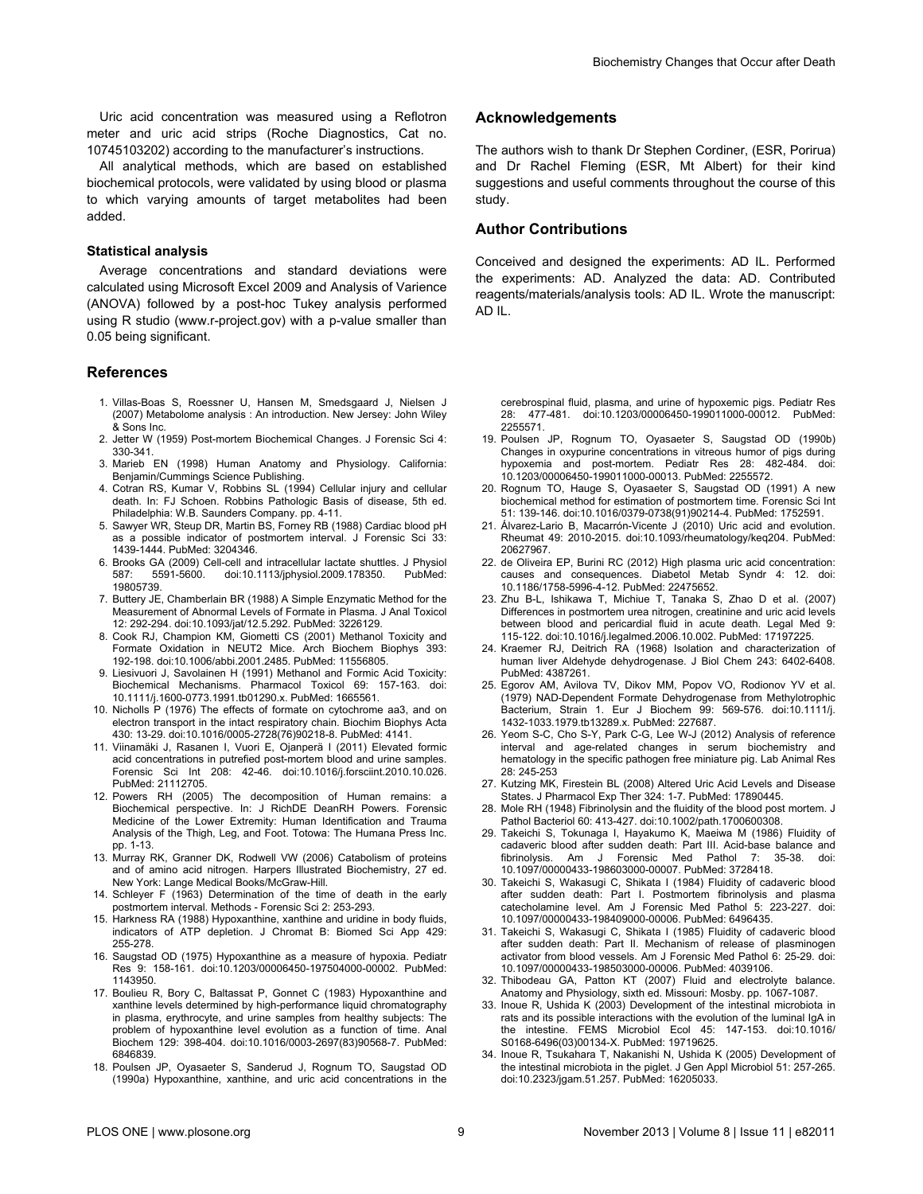<span id="page-8-0"></span>Uric acid concentration was measured using a Reflotron meter and uric acid strips (Roche Diagnostics, Cat no. 10745103202) according to the manufacturer's instructions.

All analytical methods, which are based on established biochemical protocols, were validated by using blood or plasma to which varying amounts of target metabolites had been added.

#### **Statistical analysis**

Average concentrations and standard deviations were calculated using Microsoft Excel 2009 and Analysis of Varience (ANOVA) followed by a post-hoc Tukey analysis performed using R studio (www.r-project.gov) with a p-value smaller than 0.05 being significant.

#### **References**

- 1. Villas-Boas S, Roessner U, Hansen M, Smedsgaard J, Nielsen J (2007) Metabolome analysis : An introduction. New Jersey: John Wiley & Sons Inc.
- 2. Jetter W (1959) Post-mortem Biochemical Changes. J Forensic Sci 4: 330-341.
- 3. Marieb EN (1998) Human Anatomy and Physiology. California: Benjamin/Cummings Science Publishing.
- 4. Cotran RS, Kumar V, Robbins SL (1994) Cellular injury and cellular death. In: FJ Schoen. Robbins Pathologic Basis of disease, 5th ed. Philadelphia: W.B. Saunders Company. pp. 4-11.
- 5. Sawyer WR, Steup DR, Martin BS, Forney RB (1988) Cardiac blood pH as a possible indicator of postmortem interval. J Forensic Sci 33: 1439-1444. PubMed: [3204346](http://www.ncbi.nlm.nih.gov/pubmed/3204346).
- 6. Brooks GA (2009) Cell-cell and intracellular lactate shuttles. J Physiol 587: 5591-5600. doi[:10.1113/jphysiol.2009.178350.](http://dx.doi.org/10.1113/jphysiol.2009.178350) PubMed: [19805739.](http://www.ncbi.nlm.nih.gov/pubmed/19805739)
- 7. Buttery JE, Chamberlain BR (1988) A Simple Enzymatic Method for the Measurement of Abnormal Levels of Formate in Plasma. J Anal Toxicol 12: 292-294. doi[:10.1093/jat/12.5.292.](http://dx.doi.org/10.1093/jat/12.5.292) PubMed: [3226129](http://www.ncbi.nlm.nih.gov/pubmed/3226129).
- 8. Cook RJ, Champion KM, Giometti CS (2001) Methanol Toxicity and Formate Oxidation in NEUT2 Mice. Arch Biochem Biophys 393: 192-198. doi[:10.1006/abbi.2001.2485.](http://dx.doi.org/10.1006/abbi.2001.2485) PubMed: [11556805.](http://www.ncbi.nlm.nih.gov/pubmed/11556805)
- 9. Liesivuori J, Savolainen H (1991) Methanol and Formic Acid Toxicity: Biochemical Mechanisms. Pharmacol Toxicol 69: 157-163. doi: [10.1111/j.1600-0773.1991.tb01290.x](http://dx.doi.org/10.1111/j.1600-0773.1991.tb01290.x). PubMed: [1665561](http://www.ncbi.nlm.nih.gov/pubmed/1665561).
- 10. Nicholls P (1976) The effects of formate on cytochrome aa3, and on electron transport in the intact respiratory chain. Biochim Biophys Acta 430: 13-29. doi[:10.1016/0005-2728\(76\)90218-8](http://dx.doi.org/10.1016/0005-2728(76)90218-8). PubMed: [4141.](http://www.ncbi.nlm.nih.gov/pubmed/4141)
- 11. Viinamäki J, Rasanen I, Vuori E, Ojanperä I (2011) Elevated formic acid concentrations in putrefied post-mortem blood and urine samples. Forensic Sci Int 208: 42-46. doi:[10.1016/j.forsciint.2010.10.026.](http://dx.doi.org/10.1016/j.forsciint.2010.10.026) PubMed: [21112705.](http://www.ncbi.nlm.nih.gov/pubmed/21112705)
- 12. Powers RH (2005) The decomposition of Human remains: a Biochemical perspective. In: J RichDE DeanRH Powers. Forensic Medicine of the Lower Extremity: Human Identification and Trauma Analysis of the Thigh, Leg, and Foot. Totowa: The Humana Press Inc. pp. 1-13.
- 13. Murray RK, Granner DK, Rodwell VW (2006) Catabolism of proteins and of amino acid nitrogen. Harpers Illustrated Biochemistry, 27 ed. New York: Lange Medical Books/McGraw-Hill.
- 14. Schleyer F (1963) Determination of the time of death in the early postmortem interval. Methods - Forensic Sci 2: 253-293.
- 15. Harkness RA (1988) Hypoxanthine, xanthine and uridine in body fluids, indicators of ATP depletion. J Chromat B: Biomed Sci App 429: 255-278.
- 16. Saugstad OD (1975) Hypoxanthine as a measure of hypoxia. Pediatr Res 9: 158-161. doi:[10.1203/00006450-197504000-00002](http://dx.doi.org/10.1203/00006450-197504000-00002). PubMed: [1143950.](http://www.ncbi.nlm.nih.gov/pubmed/1143950)
- 17. Boulieu R, Bory C, Baltassat P, Gonnet C (1983) Hypoxanthine and xanthine levels determined by high-performance liquid chromatography in plasma, erythrocyte, and urine samples from healthy subjects: The problem of hypoxanthine level evolution as a function of time. Anal Biochem 129: 398-404. doi[:10.1016/0003-2697\(83\)90568-7](http://dx.doi.org/10.1016/0003-2697(83)90568-7). PubMed: [6846839.](http://www.ncbi.nlm.nih.gov/pubmed/6846839)
- 18. Poulsen JP, Oyasaeter S, Sanderud J, Rognum TO, Saugstad OD (1990a) Hypoxanthine, xanthine, and uric acid concentrations in the

#### **Acknowledgements**

The authors wish to thank Dr Stephen Cordiner, (ESR, Porirua) and Dr Rachel Fleming (ESR, Mt Albert) for their kind suggestions and useful comments throughout the course of this study.

# **Author Contributions**

Conceived and designed the experiments: AD IL. Performed the experiments: AD. Analyzed the data: AD. Contributed reagents/materials/analysis tools: AD IL. Wrote the manuscript: AD IL.

cerebrospinal fluid, plasma, and urine of hypoxemic pigs. Pediatr Res 28: 477-481. doi[:10.1203/00006450-199011000-00012.](http://dx.doi.org/10.1203/00006450-199011000-00012) PubMed: [2255571.](http://www.ncbi.nlm.nih.gov/pubmed/2255571)

- 19. Poulsen JP, Rognum TO, Oyasaeter S, Saugstad OD (1990b) Changes in oxypurine concentrations in vitreous humor of pigs during hypoxemia and post-mortem. Pediatr Res 28: 482-484. doi: [10.1203/00006450-199011000-00013](http://dx.doi.org/10.1203/00006450-199011000-00013). PubMed: [2255572](http://www.ncbi.nlm.nih.gov/pubmed/2255572).
- 20. Rognum TO, Hauge S, Oyasaeter S, Saugstad OD (1991) A new biochemical method for estimation of postmortem time. Forensic Sci Int 51: 139-146. doi[:10.1016/0379-0738\(91\)90214-4.](http://dx.doi.org/10.1016/0379-0738(91)90214-4) PubMed: [1752591](http://www.ncbi.nlm.nih.gov/pubmed/1752591).
- 21. Álvarez-Lario B, Macarrón-Vicente J (2010) Uric acid and evolution. Rheumat 49: 2010-2015. doi:[10.1093/rheumatology/keq204](http://dx.doi.org/10.1093/rheumatology/keq204). PubMed: [20627967.](http://www.ncbi.nlm.nih.gov/pubmed/20627967)
- 22. de Oliveira EP, Burini RC (2012) High plasma uric acid concentration: causes and consequences. Diabetol Metab Syndr 4: 12. doi: [10.1186/1758-5996-4-12.](http://dx.doi.org/10.1186/1758-5996-4-12) PubMed: [22475652.](http://www.ncbi.nlm.nih.gov/pubmed/22475652)
- 23. Zhu B-L, Ishikawa T, Michiue T, Tanaka S, Zhao D et al. (2007) Differences in postmortem urea nitrogen, creatinine and uric acid levels between blood and pericardial fluid in acute death. Legal Med 9: 115-122. doi[:10.1016/j.legalmed.2006.10.002](http://dx.doi.org/10.1016/j.legalmed.2006.10.002). PubMed: [17197225](http://www.ncbi.nlm.nih.gov/pubmed/17197225).
- 24. Kraemer RJ, Deitrich RA (1968) Isolation and characterization of human liver Aldehyde dehydrogenase. J Biol Chem 243: 6402-6408. PubMed: [4387261.](http://www.ncbi.nlm.nih.gov/pubmed/4387261)
- 25. Egorov AM, Avilova TV, Dikov MM, Popov VO, Rodionov YV et al. (1979) NAD-Dependent Formate Dehydrogenase from Methylotrophic Bacterium, Strain 1. Eur J Biochem 99: 569-576. doi:[10.1111/j.](http://dx.doi.org/10.1111/j.1432-1033.1979.tb13289.x) [1432-1033.1979.tb13289.x](http://dx.doi.org/10.1111/j.1432-1033.1979.tb13289.x). PubMed: [227687](http://www.ncbi.nlm.nih.gov/pubmed/227687).
- 26. Yeom S-C, Cho S-Y, Park C-G, Lee W-J (2012) Analysis of reference interval and age-related changes in serum biochemistry and hematology in the specific pathogen free miniature pig. Lab Animal Res 28: 245-253
- 27. Kutzing MK, Firestein BL (2008) Altered Uric Acid Levels and Disease States. J Pharmacol Exp Ther 324: 1-7. PubMed: [17890445](http://www.ncbi.nlm.nih.gov/pubmed/17890445).
- 28. Mole RH (1948) Fibrinolysin and the fluidity of the blood post mortem. J Pathol Bacteriol 60: 413-427. doi:[10.1002/path.1700600308.](http://dx.doi.org/10.1002/path.1700600308)
- 29. Takeichi S, Tokunaga I, Hayakumo K, Maeiwa M (1986) Fluidity of cadaveric blood after sudden death: Part III. Acid-base balance and fibrinolysis. Am J Forensic Med Pathol 7: 35-38. doi: [10.1097/00000433-198603000-00007](http://dx.doi.org/10.1097/00000433-198603000-00007). PubMed: [3728418](http://www.ncbi.nlm.nih.gov/pubmed/3728418).
- 30. Takeichi S, Wakasugi C, Shikata I (1984) Fluidity of cadaveric blood after sudden death: Part I. Postmortem fibrinolysis and plasma catecholamine level. Am J Forensic Med Pathol 5: 223-227. doi: [10.1097/00000433-198409000-00006](http://dx.doi.org/10.1097/00000433-198409000-00006). PubMed: [6496435](http://www.ncbi.nlm.nih.gov/pubmed/6496435).
- 31. Takeichi S, Wakasugi C, Shikata I (1985) Fluidity of cadaveric blood after sudden death: Part II. Mechanism of release of plasminogen activator from blood vessels. Am J Forensic Med Pathol 6: 25-29. doi: [10.1097/00000433-198503000-00006](http://dx.doi.org/10.1097/00000433-198503000-00006). PubMed: [4039106](http://www.ncbi.nlm.nih.gov/pubmed/4039106).
- 32. Thibodeau GA, Patton KT (2007) Fluid and electrolyte balance. Anatomy and Physiology, sixth ed. Missouri: Mosby. pp. 1067-1087.
- 33. Inoue R, Ushida K (2003) Development of the intestinal microbiota in rats and its possible interactions with the evolution of the luminal IgA in the intestine. FEMS Microbiol Ecol 45: 147-153. doi[:10.1016/](http://dx.doi.org/10.1016/S0168-6496(03)00134-X) [S0168-6496\(03\)00134-X.](http://dx.doi.org/10.1016/S0168-6496(03)00134-X) PubMed: [19719625.](http://www.ncbi.nlm.nih.gov/pubmed/19719625)
- 34. Inoue R, Tsukahara T, Nakanishi N, Ushida K (2005) Development of the intestinal microbiota in the piglet. J Gen Appl Microbiol 51: 257-265. doi:[10.2323/jgam.51.257.](http://dx.doi.org/10.2323/jgam.51.257) PubMed: [16205033.](http://www.ncbi.nlm.nih.gov/pubmed/16205033)